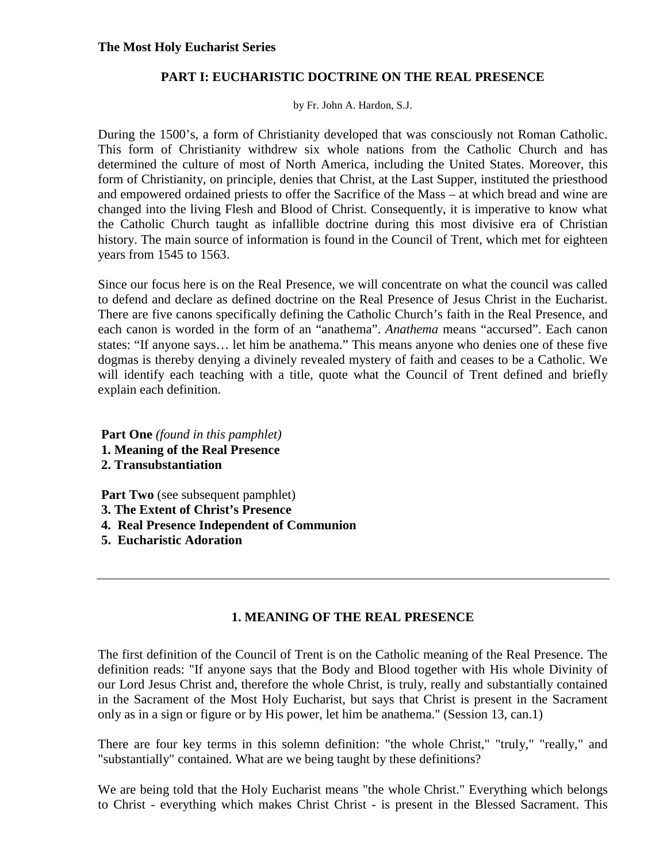### **The Most Holy Eucharist Series**

### **PART I: EUCHARISTIC DOCTRINE ON THE REAL PRESENCE**

by Fr. John A. Hardon, S.J.

During the 1500's, a form of Christianity developed that was consciously not Roman Catholic. This form of Christianity withdrew six whole nations from the Catholic Church and has determined the culture of most of North America, including the United States. Moreover, this form of Christianity, on principle, denies that Christ, at the Last Supper, instituted the priesthood and empowered ordained priests to offer the Sacrifice of the Mass – at which bread and wine are changed into the living Flesh and Blood of Christ. Consequently, it is imperative to know what the Catholic Church taught as infallible doctrine during this most divisive era of Christian history. The main source of information is found in the Council of Trent, which met for eighteen years from 1545 to 1563.

Since our focus here is on the Real Presence, we will concentrate on what the council was called to defend and declare as defined doctrine on the Real Presence of Jesus Christ in the Eucharist. There are five canons specifically defining the Catholic Church's faith in the Real Presence, and each canon is worded in the form of an "anathema". *Anathema* means "accursed". Each canon states: "If anyone says… let him be anathema." This means anyone who denies one of these five dogmas is thereby denying a divinely revealed mystery of faith and ceases to be a Catholic. We will identify each teaching with a title, quote what the Council of Trent defined and briefly explain each definition.

 **Part One** *(found in this pamphlet)*

- **1. Meaning of the Real Presence**
- **2. Transubstantiation**

**Part Two** (see subsequent pamphlet)

- **3. The Extent of Christ's Presence**
- **4. Real Presence Independent of Communion**
- **5. Eucharistic Adoration**

# **1. MEANING OF THE REAL PRESENCE**

The first definition of the Council of Trent is on the Catholic meaning of the Real Presence. The definition reads: "If anyone says that the Body and Blood together with His whole Divinity of our Lord Jesus Christ and, therefore the whole Christ, is truly, really and substantially contained in the Sacrament of the Most Holy Eucharist, but says that Christ is present in the Sacrament only as in a sign or figure or by His power, let him be anathema." (Session 13, can.1)

There are four key terms in this solemn definition: "the whole Christ," "truly," "really," and "substantially" contained. What are we being taught by these definitions?

We are being told that the Holy Eucharist means "the whole Christ." Everything which belongs to Christ - everything which makes Christ Christ - is present in the Blessed Sacrament. This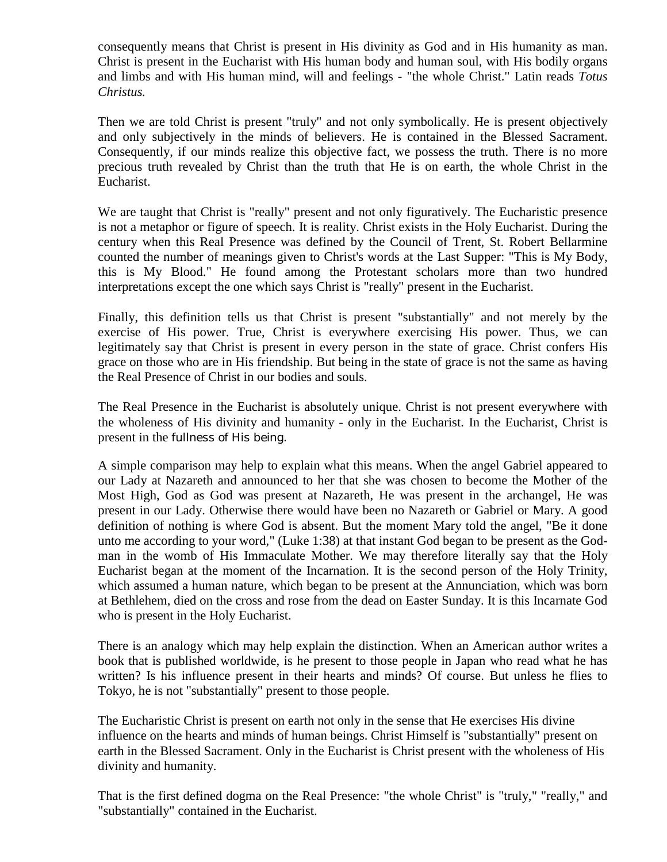consequently means that Christ is present in His divinity as God and in His humanity as man. Christ is present in the Eucharist with His human body and human soul, with His bodily organs and limbs and with His human mind, will and feelings - "the whole Christ." Latin reads *Totus Christus.* 

Then we are told Christ is present "truly" and not only symbolically. He is present objectively and only subjectively in the minds of believers. He is contained in the Blessed Sacrament. Consequently, if our minds realize this objective fact, we possess the truth. There is no more precious truth revealed by Christ than the truth that He is on earth, the whole Christ in the Eucharist.

We are taught that Christ is "really" present and not only figuratively. The Eucharistic presence is not a metaphor or figure of speech. It is reality. Christ exists in the Holy Eucharist. During the century when this Real Presence was defined by the Council of Trent, St. Robert Bellarmine counted the number of meanings given to Christ's words at the Last Supper: "This is My Body, this is My Blood." He found among the Protestant scholars more than two hundred interpretations except the one which says Christ is "really" present in the Eucharist.

Finally, this definition tells us that Christ is present "substantially" and not merely by the exercise of His power. True, Christ is everywhere exercising His power. Thus, we can legitimately say that Christ is present in every person in the state of grace. Christ confers His grace on those who are in His friendship. But being in the state of grace is not the same as having the Real Presence of Christ in our bodies and souls.

The Real Presence in the Eucharist is absolutely unique. Christ is not present everywhere with the wholeness of His divinity and humanity - only in the Eucharist. In the Eucharist, Christ is present in the *fullness of His being.* 

A simple comparison may help to explain what this means. When the angel Gabriel appeared to our Lady at Nazareth and announced to her that she was chosen to become the Mother of the Most High, God as God was present at Nazareth, He was present in the archangel, He was present in our Lady. Otherwise there would have been no Nazareth or Gabriel or Mary. A good definition of nothing is where God is absent. But the moment Mary told the angel, "Be it done unto me according to your word," (Luke 1:38) at that instant God began to be present as the Godman in the womb of His Immaculate Mother. We may therefore literally say that the Holy Eucharist began at the moment of the Incarnation. It is the second person of the Holy Trinity, which assumed a human nature, which began to be present at the Annunciation, which was born at Bethlehem, died on the cross and rose from the dead on Easter Sunday. It is this Incarnate God who is present in the Holy Eucharist.

There is an analogy which may help explain the distinction. When an American author writes a book that is published worldwide, is he present to those people in Japan who read what he has written? Is his influence present in their hearts and minds? Of course. But unless he flies to Tokyo, he is not "substantially" present to those people.

The Eucharistic Christ is present on earth not only in the sense that He exercises His divine influence on the hearts and minds of human beings. Christ Himself is "substantially" present on earth in the Blessed Sacrament. Only in the Eucharist is Christ present with the wholeness of His divinity and humanity.

That is the first defined dogma on the Real Presence: "the whole Christ" is "truly," "really," and "substantially" contained in the Eucharist.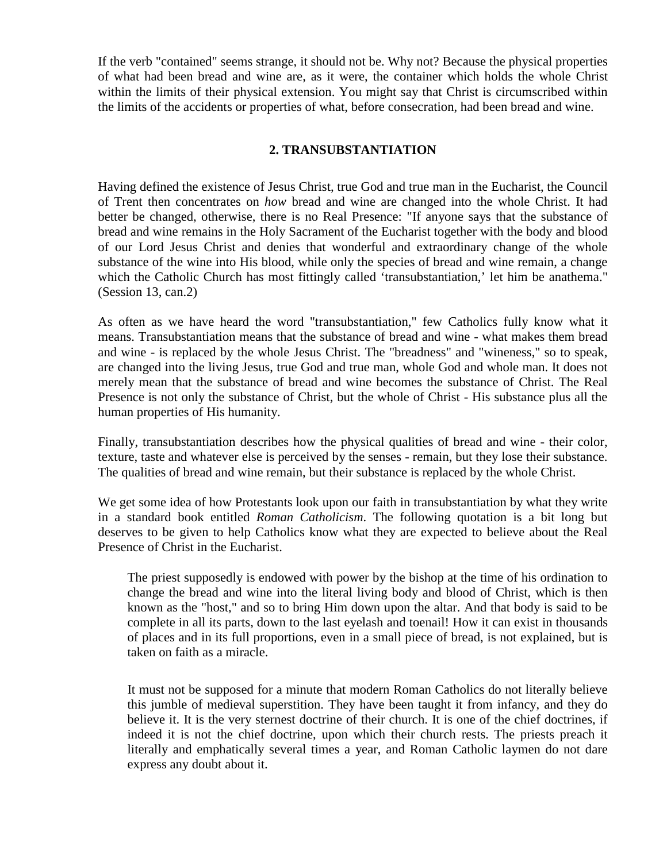If the verb "contained" seems strange, it should not be. Why not? Because the physical properties of what had been bread and wine are, as it were, the container which holds the whole Christ within the limits of their physical extension. You might say that Christ is circumscribed within the limits of the accidents or properties of what, before consecration, had been bread and wine.

# **2. TRANSUBSTANTIATION**

Having defined the existence of Jesus Christ, true God and true man in the Eucharist, the Council of Trent then concentrates on *how* bread and wine are changed into the whole Christ. It had better be changed, otherwise, there is no Real Presence: "If anyone says that the substance of bread and wine remains in the Holy Sacrament of the Eucharist together with the body and blood of our Lord Jesus Christ and denies that wonderful and extraordinary change of the whole substance of the wine into His blood, while only the species of bread and wine remain, a change which the Catholic Church has most fittingly called 'transubstantiation,' let him be anathema." (Session 13, can.2)

As often as we have heard the word "transubstantiation," few Catholics fully know what it means. Transubstantiation means that the substance of bread and wine - what makes them bread and wine - is replaced by the whole Jesus Christ. The "breadness" and "wineness," so to speak, are changed into the living Jesus, true God and true man, whole God and whole man. It does not merely mean that the substance of bread and wine becomes the substance of Christ. The Real Presence is not only the substance of Christ, but the whole of Christ - His substance plus all the human properties of His humanity.

Finally, transubstantiation describes how the physical qualities of bread and wine - their color, texture, taste and whatever else is perceived by the senses - remain, but they lose their substance. The qualities of bread and wine remain, but their substance is replaced by the whole Christ.

We get some idea of how Protestants look upon our faith in transubstantiation by what they write in a standard book entitled *Roman Catholicism*. The following quotation is a bit long but deserves to be given to help Catholics know what they are expected to believe about the Real Presence of Christ in the Eucharist.

The priest supposedly is endowed with power by the bishop at the time of his ordination to change the bread and wine into the literal living body and blood of Christ, which is then known as the "host," and so to bring Him down upon the altar. And that body is said to be complete in all its parts, down to the last eyelash and toenail! How it can exist in thousands of places and in its full proportions, even in a small piece of bread, is not explained, but is taken on faith as a miracle.

It must not be supposed for a minute that modern Roman Catholics do not literally believe this jumble of medieval superstition. They have been taught it from infancy, and they do believe it. It is the very sternest doctrine of their church. It is one of the chief doctrines, if indeed it is not the chief doctrine, upon which their church rests. The priests preach it literally and emphatically several times a year, and Roman Catholic laymen do not dare express any doubt about it.